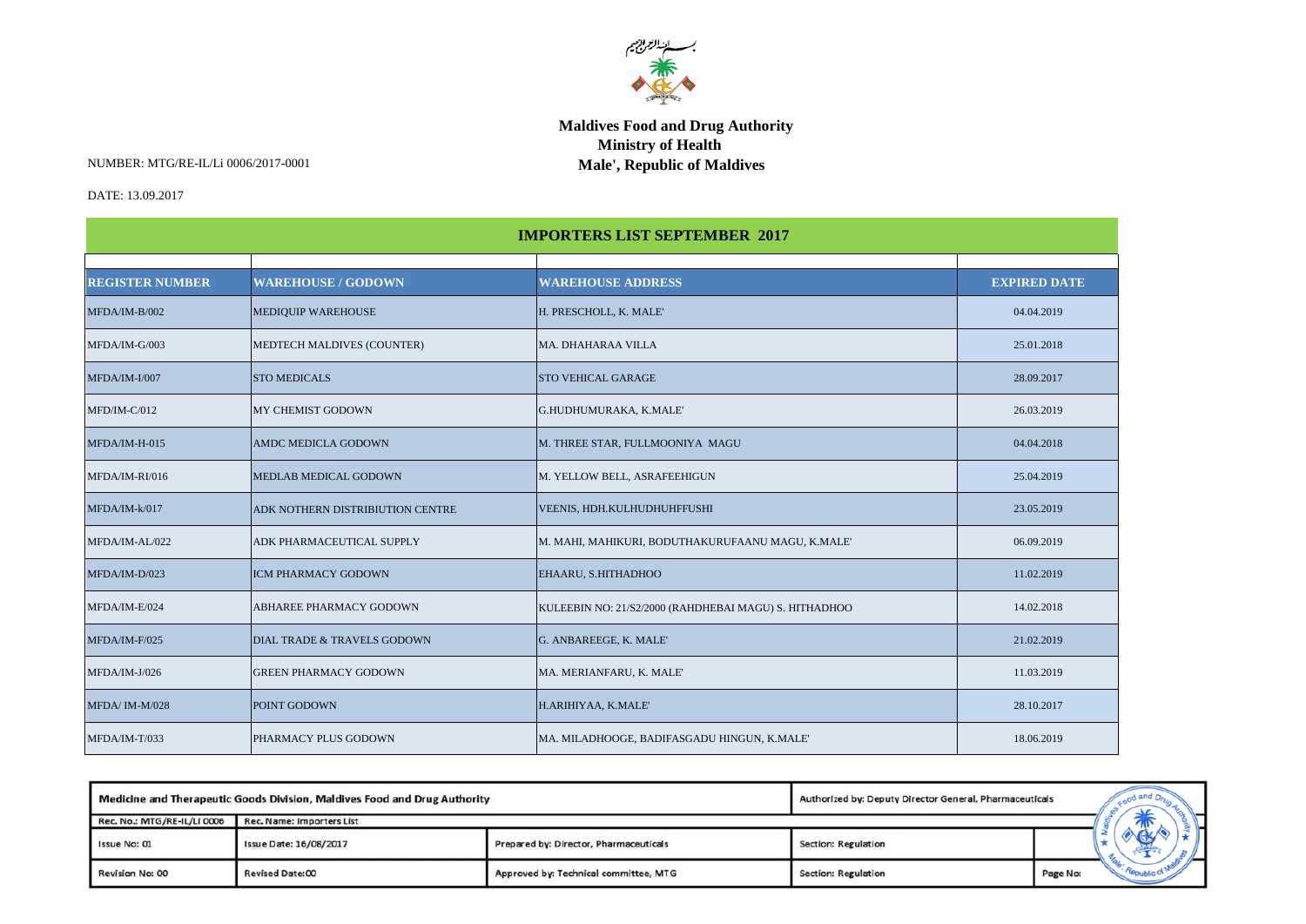

## **Maldives Food and Drug Authority Ministry of Health Male', Republic of Maldives**

NUMBER: MTG/RE-IL/Li 0006/2017-0001

## DATE: 13.09.2017

|                        | <b>IMPORTERS LIST SEPTEMBER 2017</b> |                                                       |                     |  |
|------------------------|--------------------------------------|-------------------------------------------------------|---------------------|--|
| <b>REGISTER NUMBER</b> | <b>WAREHOUSE / GODOWN</b>            | <b>WAREHOUSE ADDRESS</b>                              | <b>EXPIRED DATE</b> |  |
| MFDA/IM-B/002          | MEDIQUIP WAREHOUSE                   | H. PRESCHOLL, K. MALE'                                | 04.04.2019          |  |
| MFDA/IM-G/003          | MEDTECH MALDIVES (COUNTER)           | MA. DHAHARAA VILLA                                    | 25.01.2018          |  |
| MFDA/IM-I/007          | <b>STO MEDICALS</b>                  | <b>STO VEHICAL GARAGE</b>                             | 28.09.2017          |  |
| MFD/IM-C/012           | <b>MY CHEMIST GODOWN</b>             | G.HUDHUMURAKA, K.MALE'                                | 26.03.2019          |  |
| MFDA/IM-H-015          | AMDC MEDICLA GODOWN                  | M. THREE STAR, FULLMOONIYA MAGU                       | 04.04.2018          |  |
| MFDA/IM-RI/016         | <b>MEDLAB MEDICAL GODOWN</b>         | M. YELLOW BELL, ASRAFEEHIGUN                          | 25.04.2019          |  |
| MFDA/IM-k/017          | ADK NOTHERN DISTRIBIUTION CENTRE     | VEENIS, HDH.KULHUDHUHFFUSHI                           | 23.05.2019          |  |
| MFDA/IM-AL/022         | ADK PHARMACEUTICAL SUPPLY            | M. MAHI, MAHIKURI, BODUTHAKURUFAANU MAGU, K.MALE'     | 06.09.2019          |  |
| MFDA/IM-D/023          | <b>ICM PHARMACY GODOWN</b>           | EHAARU, S.HITHADHOO                                   | 11.02.2019          |  |
| MFDA/IM-E/024          | ABHAREE PHARMACY GODOWN              | KULEEBIN NO: 21/S2/2000 (RAHDHEBAI MAGU) S. HITHADHOO | 14.02.2018          |  |
| MFDA/IM-F/025          | DIAL TRADE & TRAVELS GODOWN          | G. ANBAREEGE, K. MALE'                                | 21.02.2019          |  |
| MFDA/IM-J/026          | <b>GREEN PHARMACY GODOWN</b>         | MA. MERIANFARU, K. MALE'                              | 11.03.2019          |  |
| MFDA/IM-M/028          | POINT GODOWN                         | H.ARIHIYAA, K.MALE'                                   | 28.10.2017          |  |
| MFDA/IM-T/033          | PHARMACY PLUS GODOWN                 | MA. MILADHOOGE, BADIFASGADU HINGUN, K.MALE'           | 18.06.2019          |  |

| Medicine and Therapeutic Goods Division, Maldives Food and Drug Authority |                         | Authorized by: Deputy Director General, Pharmaceuticals |                     |          |  |
|---------------------------------------------------------------------------|-------------------------|---------------------------------------------------------|---------------------|----------|--|
| Rec. No.: MTG/RE-IL/Li 0006<br>Rec. Name: Importers List                  |                         |                                                         |                     |          |  |
| Issue No: 01                                                              | Issue Date: 16/08/2017  | Prepared by: Director, Pharmaceuticals                  | Section: Regulation |          |  |
| <b>Revision No: 00</b>                                                    | <b>Revised Date: 00</b> | Approved by: Technical committee, MTG                   | Section: Regulation | Page No: |  |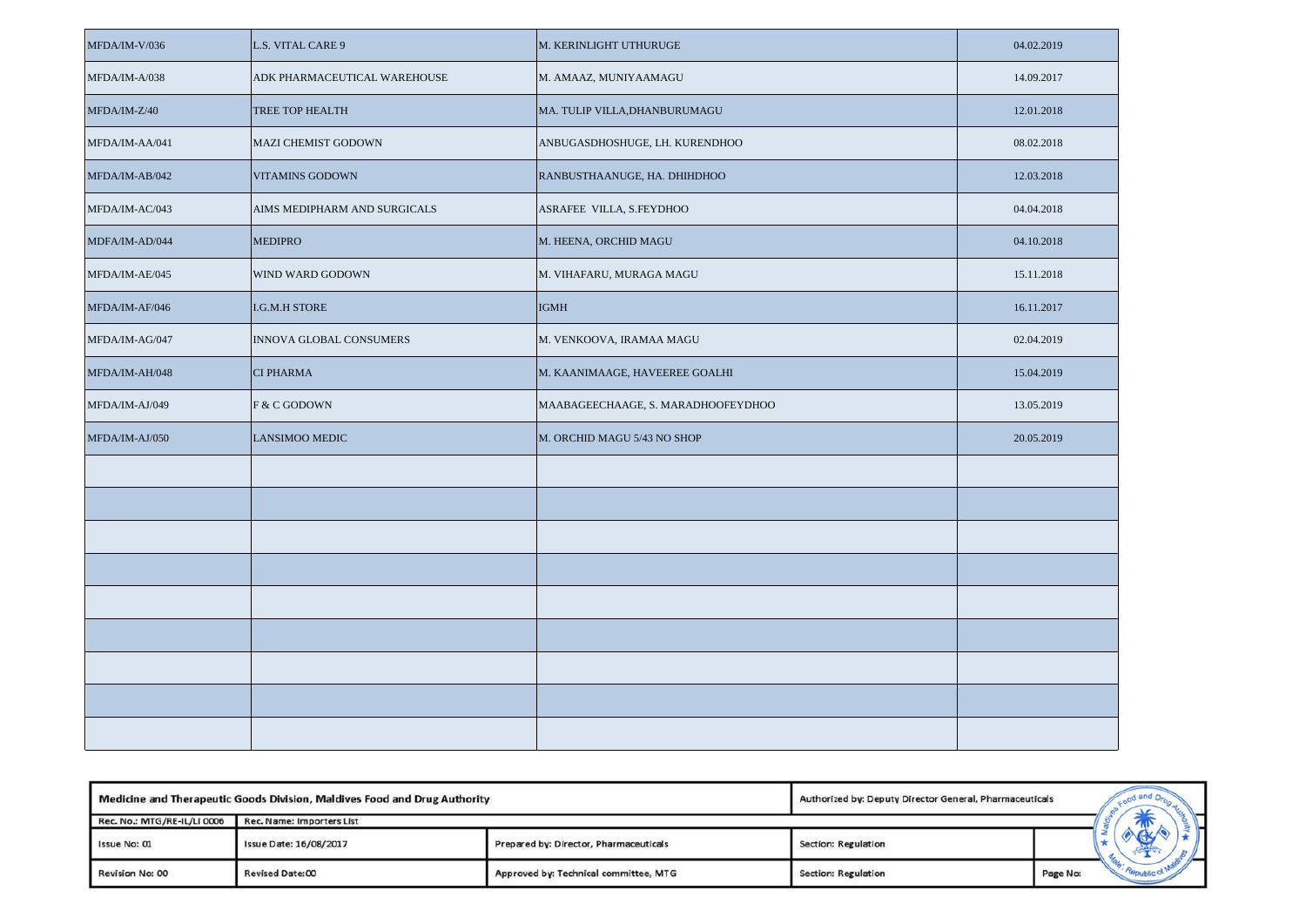| MFDA/IM-V/036  | L.S. VITAL CARE 9            | M. KERINLIGHT UTHURUGE             | 04.02.2019 |
|----------------|------------------------------|------------------------------------|------------|
| MFDA/IM-A/038  | ADK PHARMACEUTICAL WAREHOUSE | M. AMAAZ, MUNIYAAMAGU              | 14.09.2017 |
| MFDA/IM-Z/40   | TREE TOP HEALTH              | MA. TULIP VILLA, DHANBURUMAGU      | 12.01.2018 |
| MFDA/IM-AA/041 | <b>MAZI CHEMIST GODOWN</b>   | ANBUGASDHOSHUGE, LH. KURENDHOO     | 08.02.2018 |
| MFDA/IM-AB/042 | <b>VITAMINS GODOWN</b>       | RANBUSTHAANUGE, HA. DHIHDHOO       | 12.03.2018 |
| MFDA/IM-AC/043 | AIMS MEDIPHARM AND SURGICALS | ASRAFEE VILLA, S.FEYDHOO           | 04.04.2018 |
| MDFA/IM-AD/044 | <b>MEDIPRO</b>               | M. HEENA, ORCHID MAGU              | 04.10.2018 |
| MFDA/IM-AE/045 | WIND WARD GODOWN             | M. VIHAFARU, MURAGA MAGU           | 15.11.2018 |
| MFDA/IM-AF/046 | I.G.M.H STORE                | <b>IGMH</b>                        | 16.11.2017 |
| MFDA/IM-AG/047 | INNOVA GLOBAL CONSUMERS      | M. VENKOOVA, IRAMAA MAGU           | 02.04.2019 |
| MFDA/IM-AH/048 | <b>CI PHARMA</b>             | M. KAANIMAAGE, HAVEEREE GOALHI     | 15.04.2019 |
| MFDA/IM-AJ/049 | F & C GODOWN                 | MAABAGEECHAAGE, S. MARADHOOFEYDHOO | 13.05.2019 |
| MFDA/IM-AJ/050 | LANSIMOO MEDIC               | M. ORCHID MAGU 5/43 NO SHOP        | 20.05.2019 |
|                |                              |                                    |            |
|                |                              |                                    |            |
|                |                              |                                    |            |
|                |                              |                                    |            |
|                |                              |                                    |            |
|                |                              |                                    |            |
|                |                              |                                    |            |
|                |                              |                                    |            |
|                |                              |                                    |            |

| Medicine and Therapeutic Goods Division, Maldives Food and Drug Authority |                                                                  | Authorized by: Deputy Director General, Pharmaceuticals |                     |          |                |
|---------------------------------------------------------------------------|------------------------------------------------------------------|---------------------------------------------------------|---------------------|----------|----------------|
| Rec. No.: MTG/RE-IL/Li 0006<br><b>Rec. Name: Importers List</b>           |                                                                  |                                                         |                     |          |                |
| Issue No: 01                                                              | Issue Date: 16/08/2017<br>Prepared by: Director, Pharmaceuticals |                                                         | Section: Regulation |          |                |
| <b>Revision No: 00</b>                                                    | <b>Revised Date: 00</b>                                          | Approved by: Technical committee, MTG                   | Section: Regulation | Page No: | <b>epublic</b> |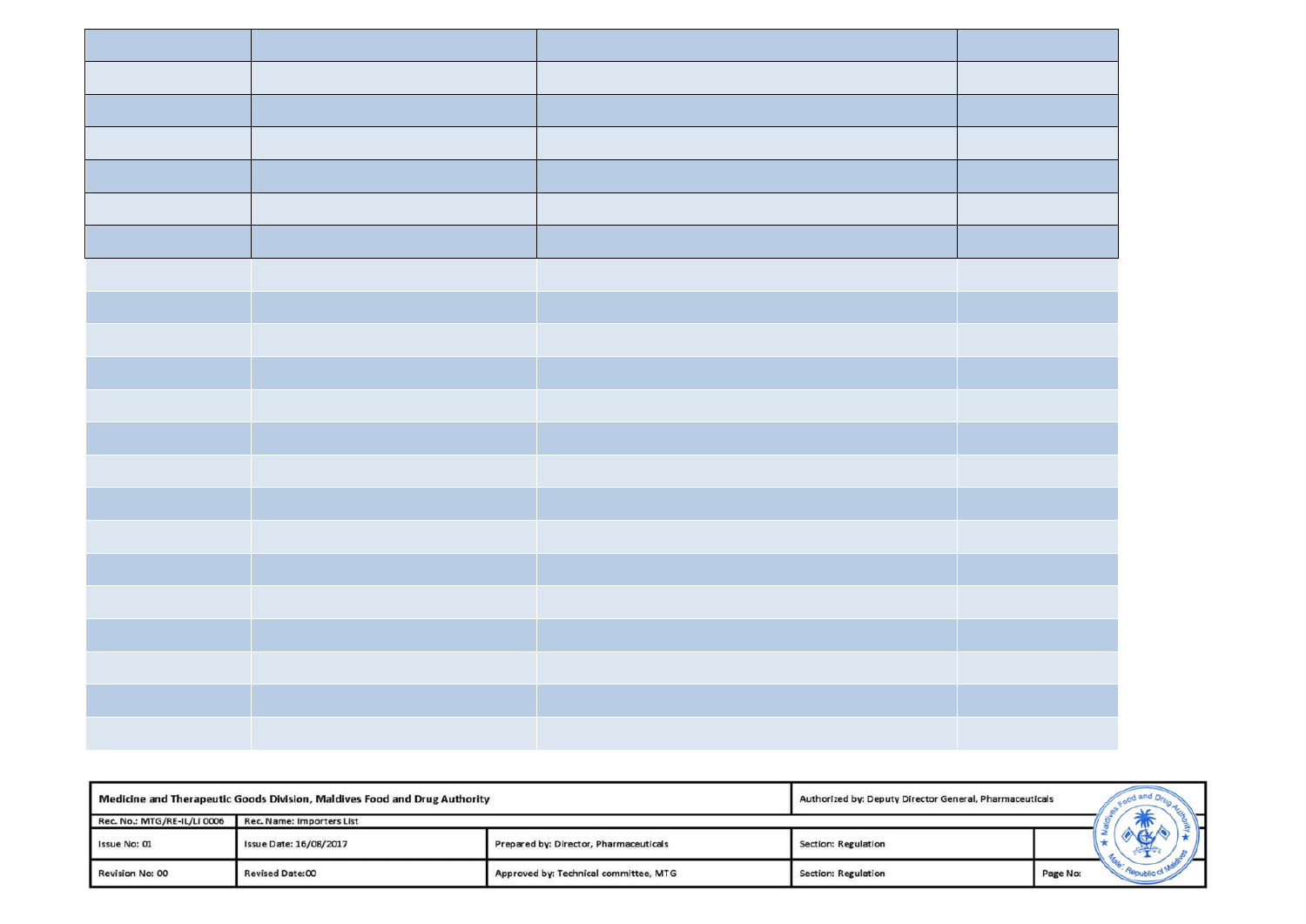| Medicine and Therapeutic Goods Division, Maldives Food and Drug Authority |                         | Authorized by: Deputy Director General, Pharmaceuticals |                     |          |        |
|---------------------------------------------------------------------------|-------------------------|---------------------------------------------------------|---------------------|----------|--------|
| Rec. No.: MTG/RE-IL/Li 0006<br>Rec. Name: Importers List                  |                         |                                                         |                     |          |        |
| Issue No: 01                                                              | Issue Date: 16/08/2017  | Prepared by: Director, Pharmaceuticals                  | Section: Regulation |          |        |
| <b>Revision No: 00</b>                                                    | <b>Revised Date: 00</b> | Approved by: Technical committee, MTG                   | Section: Regulation | Page No: | epubli |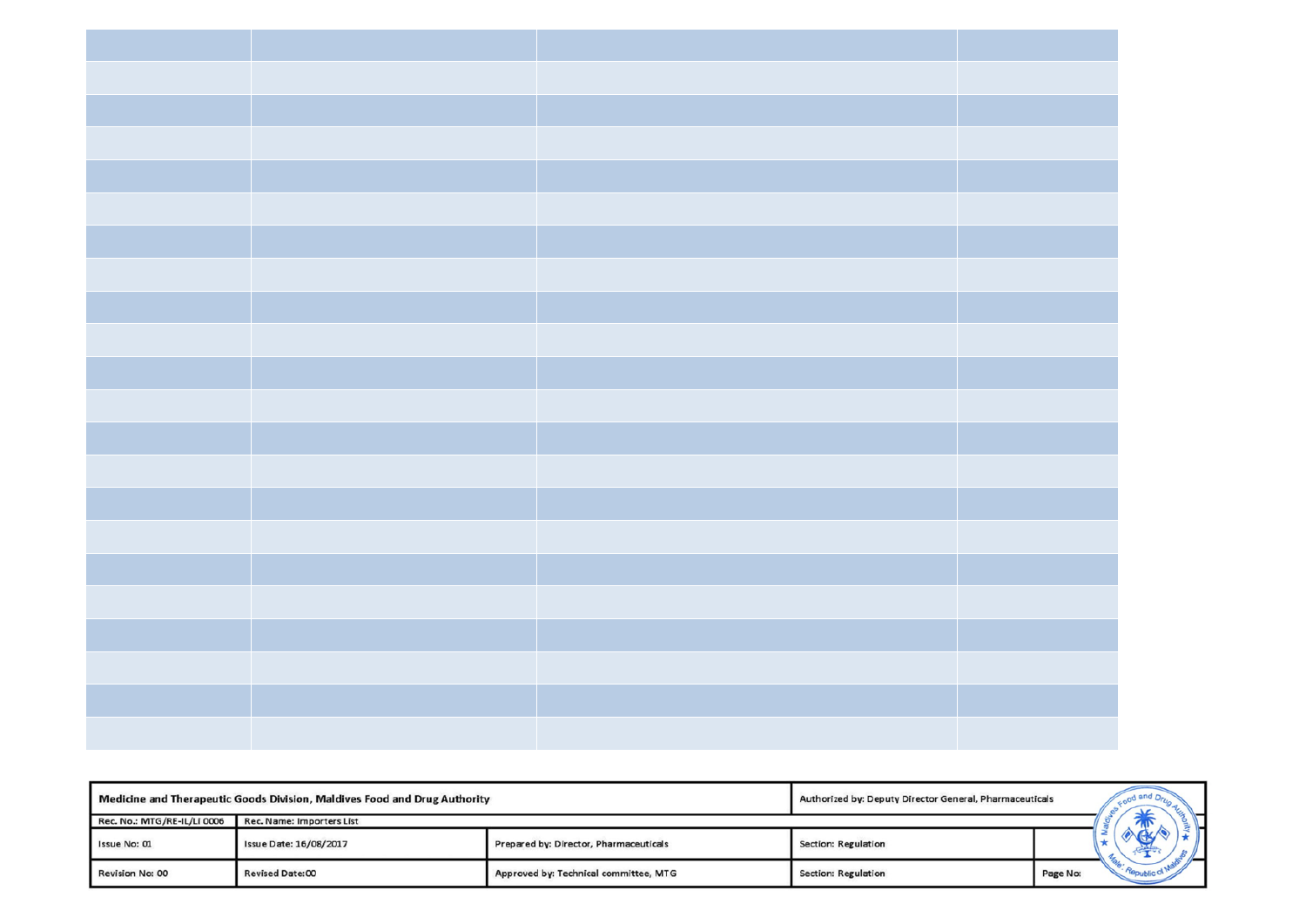| Medicine and Therapeutic Goods Division, Maldives Food and Drug Authority |                           |                                        | Authorized by: Deputy Director General, Pharmaceuticals |          |
|---------------------------------------------------------------------------|---------------------------|----------------------------------------|---------------------------------------------------------|----------|
| Rec. No.: MTG/RE-IL/Li 0006                                               | Rec. Name: Importers List |                                        |                                                         |          |
| Issue No: 01                                                              | Issue Date: 16/08/2017    | Prepared by: Director, Pharmaceuticals | Section: Regulation                                     |          |
| Revision No: 00                                                           | <b>Revised Date: 00</b>   | Approved by: Technical committee, MTG  | Section: Regulation                                     | Page No: |